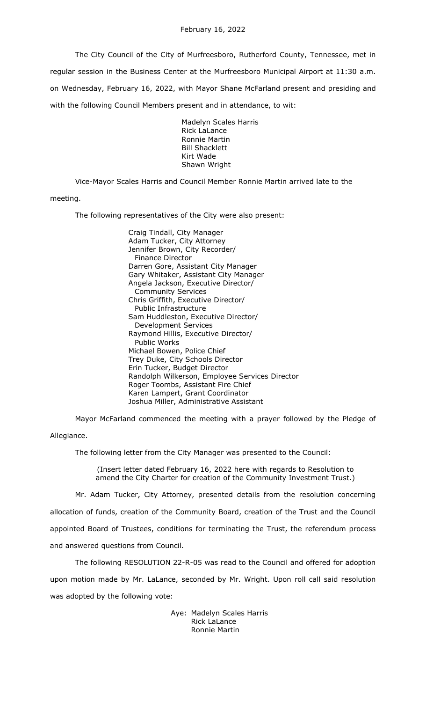The City Council of the City of Murfreesboro, Rutherford County, Tennessee, met in regular session in the Business Center at the Murfreesboro Municipal Airport at 11:30 a.m. on Wednesday, February 16, 2022, with Mayor Shane McFarland present and presiding and with the following Council Members present and in attendance, to wit:

> Madelyn Scales Harris Rick LaLance Ronnie Martin Bill Shacklett Kirt Wade Shawn Wright

Vice-Mayor Scales Harris and Council Member Ronnie Martin arrived late to the meeting.

The following representatives of the City were also present:

Craig Tindall, City Manager Adam Tucker, City Attorney Jennifer Brown, City Recorder/ Finance Director Darren Gore, Assistant City Manager Gary Whitaker, Assistant City Manager Angela Jackson, Executive Director/ Community Services Chris Griffith, Executive Director/ Public Infrastructure Sam Huddleston, Executive Director/ Development Services Raymond Hillis, Executive Director/ Public Works Michael Bowen, Police Chief Trey Duke, City Schools Director Erin Tucker, Budget Director Randolph Wilkerson, Employee Services Director Roger Toombs, Assistant Fire Chief Karen Lampert, Grant Coordinator Joshua Miller, Administrative Assistant

Mayor McFarland commenced the meeting with a prayer followed by the Pledge of Allegiance.

The following letter from the City Manager was presented to the Council:

(Insert letter dated February 16, 2022 here with regards to Resolution to amend the City Charter for creation of the Community Investment Trust.)

Mr. Adam Tucker, City Attorney, presented details from the resolution concerning allocation of funds, creation of the Community Board, creation of the Trust and the Council appointed Board of Trustees, conditions for terminating the Trust, the referendum process and answered questions from Council.

The following RESOLUTION 22-R-05 was read to the Council and offered for adoption upon motion made by Mr. LaLance, seconded by Mr. Wright. Upon roll call said resolution was adopted by the following vote:

> Aye: Madelyn Scales Harris Rick LaLance Ronnie Martin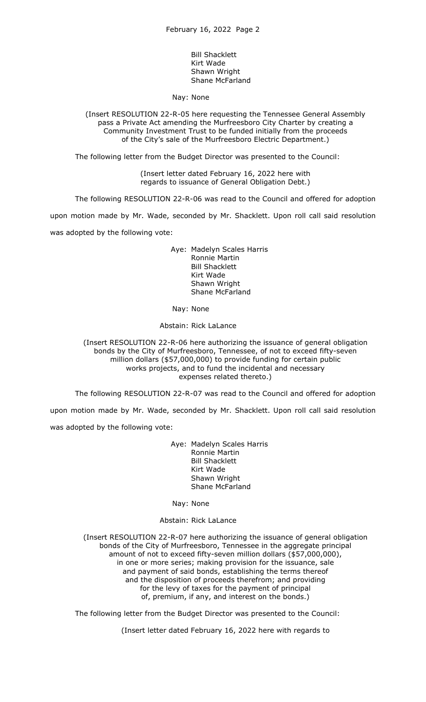Bill Shacklett Kirt Wade Shawn Wright Shane McFarland

Nay: None

(Insert RESOLUTION 22-R-05 here requesting the Tennessee General Assembly pass a Private Act amending the Murfreesboro City Charter by creating a Community Investment Trust to be funded initially from the proceeds of the City's sale of the Murfreesboro Electric Department.)

The following letter from the Budget Director was presented to the Council:

(Insert letter dated February 16, 2022 here with regards to issuance of General Obligation Debt.)

The following RESOLUTION 22-R-06 was read to the Council and offered for adoption

upon motion made by Mr. Wade, seconded by Mr. Shacklett. Upon roll call said resolution was adopted by the following vote:

> Aye: Madelyn Scales Harris Ronnie Martin Bill Shacklett Kirt Wade Shawn Wright Shane McFarland

Nay: None

Abstain: Rick LaLance

(Insert RESOLUTION 22-R-06 here authorizing the issuance of general obligation bonds by the City of Murfreesboro, Tennessee, of not to exceed fifty-seven million dollars (\$57,000,000) to provide funding for certain public works projects, and to fund the incidental and necessary expenses related thereto.)

The following RESOLUTION 22-R-07 was read to the Council and offered for adoption

upon motion made by Mr. Wade, seconded by Mr. Shacklett. Upon roll call said resolution was adopted by the following vote:

> Aye: Madelyn Scales Harris Ronnie Martin Bill Shacklett Kirt Wade Shawn Wright Shane McFarland

Nay: None

Abstain: Rick LaLance

(Insert RESOLUTION 22-R-07 here authorizing the issuance of general obligation bonds of the City of Murfreesboro, Tennessee in the aggregate principal amount of not to exceed fifty-seven million dollars (\$57,000,000), in one or more series; making provision for the issuance, sale and payment of said bonds, establishing the terms thereof and the disposition of proceeds therefrom; and providing for the levy of taxes for the payment of principal of, premium, if any, and interest on the bonds.)

The following letter from the Budget Director was presented to the Council:

(Insert letter dated February 16, 2022 here with regards to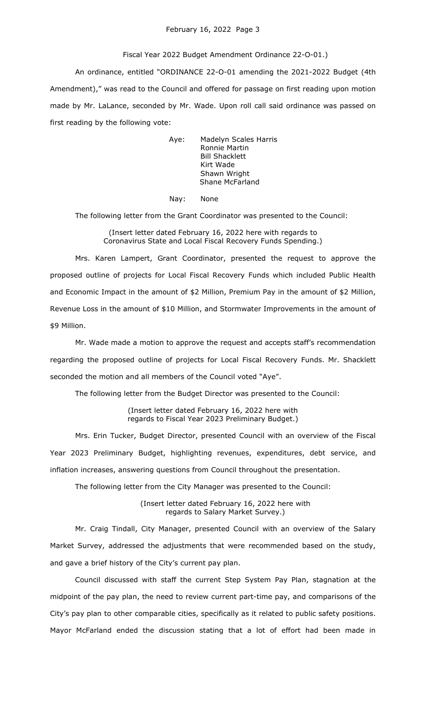## February 16, 2022 Page 3

## Fiscal Year 2022 Budget Amendment Ordinance 22-O-01.)

An ordinance, entitled "ORDINANCE 22-O-01 amending the 2021-2022 Budget (4th Amendment)," was read to the Council and offered for passage on first reading upon motion made by Mr. LaLance, seconded by Mr. Wade. Upon roll call said ordinance was passed on first reading by the following vote:

> Aye: Madelyn Scales Harris Ronnie Martin Bill Shacklett Kirt Wade Shawn Wright Shane McFarland

Nay: None

The following letter from the Grant Coordinator was presented to the Council:

(Insert letter dated February 16, 2022 here with regards to Coronavirus State and Local Fiscal Recovery Funds Spending.)

Mrs. Karen Lampert, Grant Coordinator, presented the request to approve the proposed outline of projects for Local Fiscal Recovery Funds which included Public Health and Economic Impact in the amount of \$2 Million, Premium Pay in the amount of \$2 Million, Revenue Loss in the amount of \$10 Million, and Stormwater Improvements in the amount of \$9 Million.

Mr. Wade made a motion to approve the request and accepts staff's recommendation regarding the proposed outline of projects for Local Fiscal Recovery Funds. Mr. Shacklett seconded the motion and all members of the Council voted "Aye".

The following letter from the Budget Director was presented to the Council:

(Insert letter dated February 16, 2022 here with regards to Fiscal Year 2023 Preliminary Budget.)

Mrs. Erin Tucker, Budget Director, presented Council with an overview of the Fiscal Year 2023 Preliminary Budget, highlighting revenues, expenditures, debt service, and inflation increases, answering questions from Council throughout the presentation.

The following letter from the City Manager was presented to the Council:

(Insert letter dated February 16, 2022 here with regards to Salary Market Survey.)

Mr. Craig Tindall, City Manager, presented Council with an overview of the Salary Market Survey, addressed the adjustments that were recommended based on the study, and gave a brief history of the City's current pay plan.

Council discussed with staff the current Step System Pay Plan, stagnation at the midpoint of the pay plan, the need to review current part-time pay, and comparisons of the City's pay plan to other comparable cities, specifically as it related to public safety positions. Mayor McFarland ended the discussion stating that a lot of effort had been made in